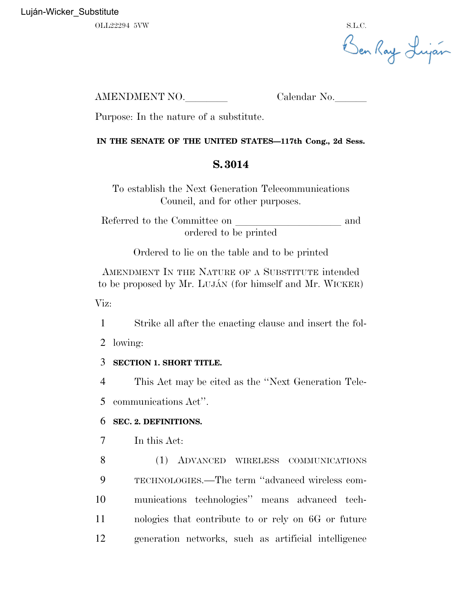OLL22294 5VW S.L.C.

Ben Ray Luján

AMENDMENT NO. Calendar No.

Purpose: In the nature of a substitute.

## **IN THE SENATE OF THE UNITED STATES—117th Cong., 2d Sess.**

## **S. 3014**

To establish the Next Generation Telecommunications Council, and for other purposes.

Referred to the Committee on and ordered to be printed

Ordered to lie on the table and to be printed

AMENDMENT IN THE NATURE OF A SUBSTITUTE intended to be proposed by Mr. LUJA´N (for himself and Mr. WICKER)

Viz:

1 Strike all after the enacting clause and insert the fol-

2 lowing:

## 3 **SECTION 1. SHORT TITLE.**

4 This Act may be cited as the ''Next Generation Tele-

5 communications Act''.

## 6 **SEC. 2. DEFINITIONS.**

7 In this Act:

 (1) ADVANCED WIRELESS COMMUNICATIONS TECHNOLOGIES.—The term ''advanced wireless com- munications technologies'' means advanced tech- nologies that contribute to or rely on 6G or future generation networks, such as artificial intelligence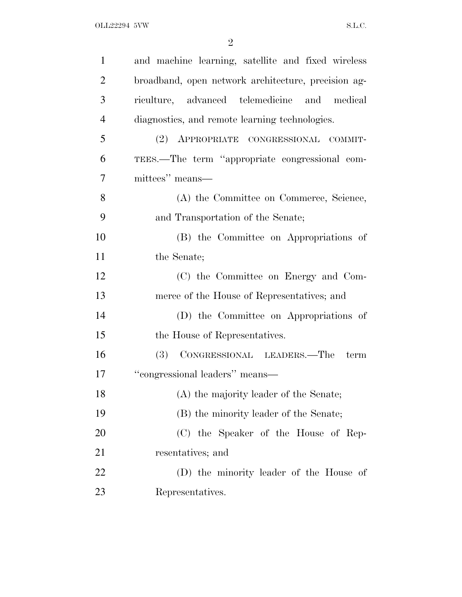| $\mathbf{1}$   | and machine learning, satellite and fixed wireless  |
|----------------|-----------------------------------------------------|
| $\overline{2}$ | broadband, open network architecture, precision ag- |
| 3              | riculture, advanced telemedicine and medical        |
| $\overline{4}$ | diagnostics, and remote learning technologies.      |
| 5              | (2) APPROPRIATE CONGRESSIONAL COMMIT-               |
| 6              | TEES.—The term "appropriate congressional com-      |
| 7              | mittees" means—                                     |
| 8              | (A) the Committee on Commerce, Science,             |
| 9              | and Transportation of the Senate;                   |
| 10             | (B) the Committee on Appropriations of              |
| 11             | the Senate;                                         |
| 12             | (C) the Committee on Energy and Com-                |
| 13             | merce of the House of Representatives; and          |
| 14             | (D) the Committee on Appropriations of              |
| 15             | the House of Representatives.                       |
| 16             | (3) CONGRESSIONAL LEADERS.—The<br>term              |
| 17             | "congressional leaders" means-                      |
| 18             | (A) the majority leader of the Senate;              |
| 19             | (B) the minority leader of the Senate;              |
| 20             | (C) the Speaker of the House of Rep-                |
| 21             | resentatives; and                                   |
| 22             | (D) the minority leader of the House of             |
| 23             | Representatives.                                    |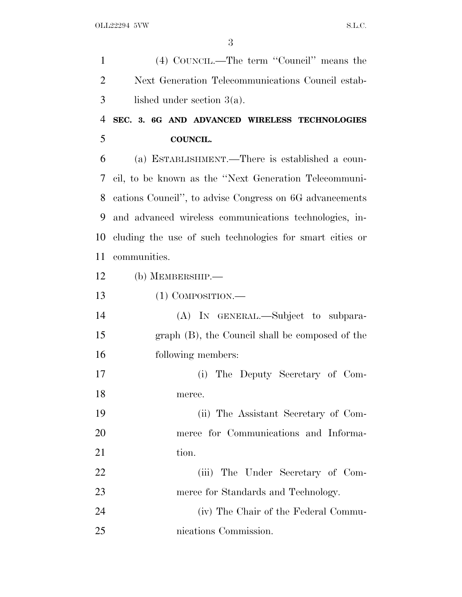(4) COUNCIL.—The term ''Council'' means the Next Generation Telecommunications Council estab- lished under section 3(a). **SEC. 3. 6G AND ADVANCED WIRELESS TECHNOLOGIES COUNCIL.**

 (a) ESTABLISHMENT.—There is established a coun- cil, to be known as the ''Next Generation Telecommuni- cations Council'', to advise Congress on 6G advancements and advanced wireless communications technologies, in- cluding the use of such technologies for smart cities or communities.

- (b) MEMBERSHIP.—
- (1) COMPOSITION.—
- (A) IN GENERAL.—Subject to subpara- graph (B), the Council shall be composed of the following members:
- (i) The Deputy Secretary of Com-merce.

 (ii) The Assistant Secretary of Com- merce for Communications and Informa-21 tion.

22 (iii) The Under Secretary of Com-23 merce for Standards and Technology.

 (iv) The Chair of the Federal Commu-nications Commission.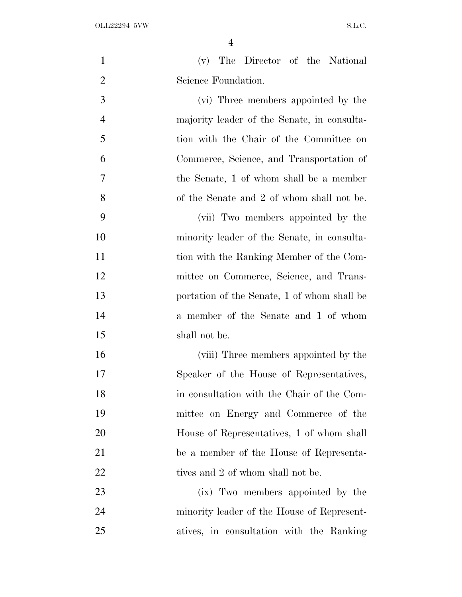| $\mathbf{1}$   | The Director of the National<br>(v)         |
|----------------|---------------------------------------------|
| $\overline{2}$ | Science Foundation.                         |
| 3              | (vi) Three members appointed by the         |
| $\overline{4}$ | majority leader of the Senate, in consulta- |
| 5              | tion with the Chair of the Committee on     |
| 6              | Commerce, Science, and Transportation of    |
| 7              | the Senate, 1 of whom shall be a member     |
| 8              | of the Senate and 2 of whom shall not be.   |
| 9              | (vii) Two members appointed by the          |
| 10             | minority leader of the Senate, in consulta- |
| 11             | tion with the Ranking Member of the Com-    |
| 12             | mittee on Commerce, Science, and Trans-     |
| 13             | portation of the Senate, 1 of whom shall be |
| 14             | a member of the Senate and 1 of whom        |
| 15             | shall not be.                               |
| 16             | (viii) Three members appointed by the       |
| 17             | Speaker of the House of Representatives,    |
| 18             | in consultation with the Chair of the Com-  |
| 19             | mittee on Energy and Commerce of the        |
| 20             | House of Representatives, 1 of whom shall   |
| 21             | be a member of the House of Representa-     |
| 22             | tives and 2 of whom shall not be.           |
| 23             | (ix) Two members appointed by the           |
| 24             | minority leader of the House of Represent-  |
| 25             | atives, in consultation with the Ranking    |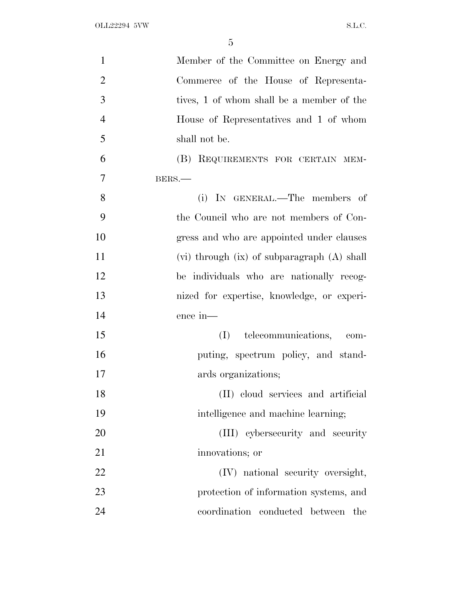| $\mathbf{1}$   | Member of the Committee on Energy and             |
|----------------|---------------------------------------------------|
| $\overline{2}$ | Commerce of the House of Representa-              |
| 3              | tives, 1 of whom shall be a member of the         |
| $\overline{4}$ | House of Representatives and 1 of whom            |
| 5              | shall not be.                                     |
| 6              | (B) REQUIREMENTS FOR CERTAIN MEM-                 |
| $\overline{7}$ | BERS.                                             |
| 8              | (i) IN GENERAL.—The members of                    |
| 9              | the Council who are not members of Con-           |
| 10             | gress and who are appointed under clauses         |
| 11             | $(vi)$ through $(ix)$ of subparagraph $(A)$ shall |
| 12             | be individuals who are nationally recog-          |
| 13             | nized for expertise, knowledge, or experi-        |
| 14             | ence in-                                          |
| 15             | (I) telecommunications, com-                      |
| 16             | puting, spectrum policy, and stand-               |
| 17             | ards organizations;                               |
| 18             | (II) cloud services and artificial                |
| 19             | intelligence and machine learning;                |
| 20             | (III) cybersecurity and security                  |
| 21             | innovations; or                                   |
| 22             | (IV) national security oversight,                 |
| 23             | protection of information systems, and            |
| 24             | coordination conducted between<br>the             |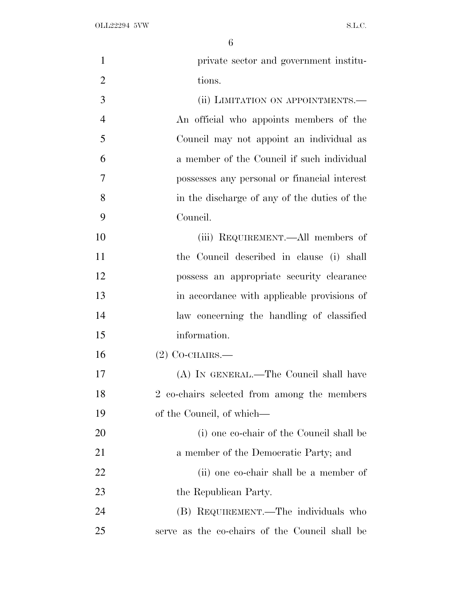| $\mathbf{1}$   | private sector and government institu-         |
|----------------|------------------------------------------------|
| $\overline{2}$ | tions.                                         |
| 3              | (ii) LIMITATION ON APPOINTMENTS.-              |
| $\overline{4}$ | An official who appoints members of the        |
| 5              | Council may not appoint an individual as       |
| 6              | a member of the Council if such individual     |
| $\overline{7}$ | possesses any personal or financial interest   |
| 8              | in the discharge of any of the duties of the   |
| 9              | Council.                                       |
| 10             | (iii) REQUIREMENT.—All members of              |
| 11             | the Council described in clause (i) shall      |
| 12             | possess an appropriate security clearance      |
| 13             | in accordance with applicable provisions of    |
| 14             | law concerning the handling of classified      |
| 15             | information.                                   |
| 16             | $(2)$ CO-CHAIRS.—                              |
| 17             | (A) IN GENERAL.—The Council shall have         |
| 18             | 2 co-chairs selected from among the members    |
| 19             | of the Council, of which—                      |
| <b>20</b>      | (i) one co-chair of the Council shall be       |
| 21             | a member of the Democratic Party; and          |
| 22             | (ii) one co-chair shall be a member of         |
| 23             | the Republican Party.                          |
| 24             | (B) REQUIREMENT.—The individuals who           |
| 25             | serve as the co-chairs of the Council shall be |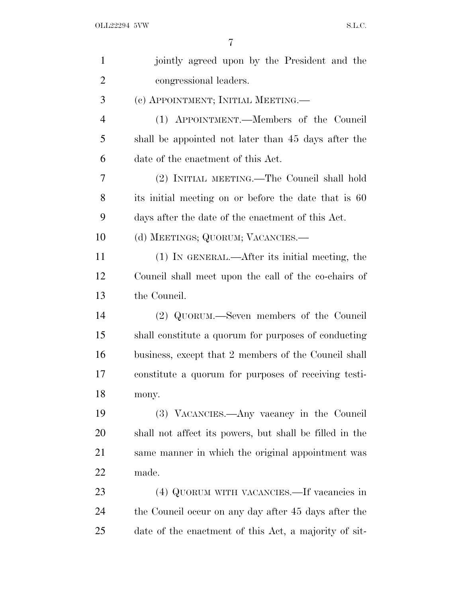| $\mathbf{1}$   | jointly agreed upon by the President and the            |
|----------------|---------------------------------------------------------|
| $\overline{2}$ | congressional leaders.                                  |
| 3              | (c) APPOINTMENT; INITIAL MEETING.—                      |
| 4              | (1) APPOINTMENT.—Members of the Council                 |
| 5              | shall be appointed not later than 45 days after the     |
| 6              | date of the enactment of this Act.                      |
| 7              | (2) INITIAL MEETING.—The Council shall hold             |
| 8              | its initial meeting on or before the date that is 60    |
| 9              | days after the date of the enactment of this Act.       |
| 10             | (d) MEETINGS; QUORUM; VACANCIES.—                       |
| 11             | (1) IN GENERAL.—After its initial meeting, the          |
| 12             | Council shall meet upon the call of the co-chairs of    |
| 13             | the Council.                                            |
| 14             | (2) QUORUM.—Seven members of the Council                |
| 15             | shall constitute a quorum for purposes of conducting    |
| 16             | business, except that 2 members of the Council shall    |
| 17             | constitute a quorum for purposes of receiving testi-    |
| 18             | mony.                                                   |
| 19             | (3) VACANCIES.—Any vacancy in the Council               |
| 20             | shall not affect its powers, but shall be filled in the |
| 21             | same manner in which the original appointment was       |
| 22             | made.                                                   |
| 23             | (4) QUORUM WITH VACANCIES.—If vacancies in              |
| 24             | the Council occur on any day after 45 days after the    |
| 25             | date of the enactment of this Act, a majority of sit-   |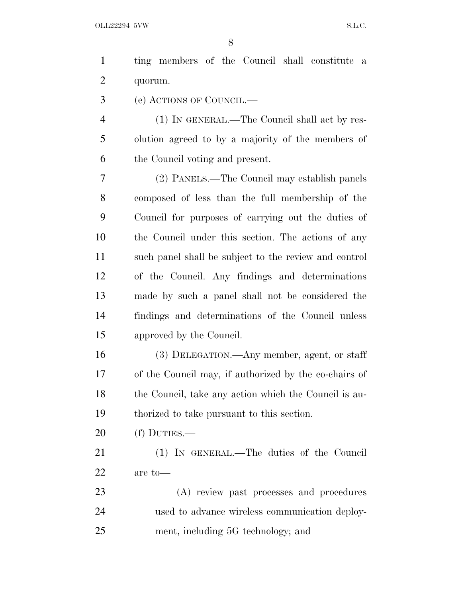| $\mathbf{1}$   | ting members of the Council shall constitute a        |
|----------------|-------------------------------------------------------|
| $\overline{2}$ | quorum.                                               |
| 3              | (e) ACTIONS OF COUNCIL.—                              |
| 4              | (1) IN GENERAL.—The Council shall act by res-         |
| 5              | olution agreed to by a majority of the members of     |
| 6              | the Council voting and present.                       |
| 7              | (2) PANELS.—The Council may establish panels          |
| 8              | composed of less than the full membership of the      |
| 9              | Council for purposes of carrying out the duties of    |
| 10             | the Council under this section. The actions of any    |
| 11             | such panel shall be subject to the review and control |
| 12             | of the Council. Any findings and determinations       |
| 13             | made by such a panel shall not be considered the      |
|                |                                                       |

- findings and determinations of the Council unless approved by the Council.
- (3) DELEGATION.—Any member, agent, or staff of the Council may, if authorized by the co-chairs of 18 the Council, take any action which the Council is au-thorized to take pursuant to this section.
- (f) DUTIES.—

 (1) IN GENERAL.—The duties of the Council are to—

 (A) review past processes and procedures used to advance wireless communication deploy-ment, including 5G technology; and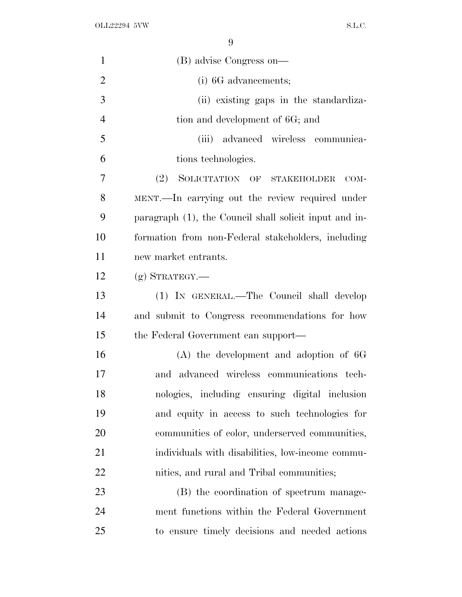OLL22294 5VW S.L.C.

| $\mathbf{1}$   | (B) advise Congress on—                                |
|----------------|--------------------------------------------------------|
| $\overline{2}$ | (i) 6G advancements;                                   |
| 3              | (ii) existing gaps in the standardiza-                 |
| $\overline{4}$ | tion and development of 6G; and                        |
| 5              | (iii) advanced wireless communica-                     |
| 6              | tions technologies.                                    |
| 7              | (2) SOLICITATION OF STAKEHOLDER<br>$COM-$              |
| 8              | MENT.—In carrying out the review required under        |
| 9              | paragraph (1), the Council shall solicit input and in- |
| 10             | formation from non-Federal stakeholders, including     |
| 11             | new market entrants.                                   |
| 12             | $(g)$ STRATEGY.—                                       |
| 13             | (1) IN GENERAL.—The Council shall develop              |
| 14             | and submit to Congress recommendations for how         |
| 15             | the Federal Government can support—                    |
| 16             | $(A)$ the development and adoption of 6G               |
| 17             | and advanced wireless communications tech-             |
| 18             | nologies, including ensuring digital inclusion         |
| 19             | and equity in access to such technologies for          |
| 20             | communities of color, underserved communities,         |
| 21             | individuals with disabilities, low-income commu-       |
| 22             | nities, and rural and Tribal communities;              |
| 23             | (B) the coordination of spectrum manage-               |
| 24             | ment functions within the Federal Government           |
| 25             | to ensure timely decisions and needed actions          |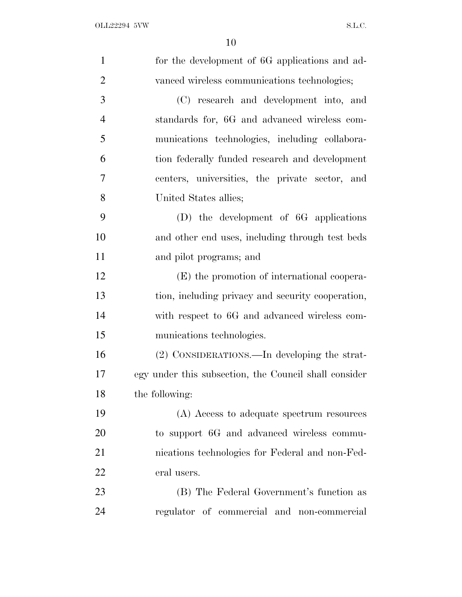| $\mathbf{1}$   | for the development of 6G applications and ad-        |
|----------------|-------------------------------------------------------|
| $\overline{2}$ | vanced wireless communications technologies;          |
| 3              | (C) research and development into, and                |
| $\overline{4}$ | standards for, 6G and advanced wireless com-          |
| 5              | munications technologies, including collabora-        |
| 6              | tion federally funded research and development        |
| $\overline{7}$ | centers, universities, the private sector, and        |
| 8              | United States allies;                                 |
| 9              | $(D)$ the development of 6G applications              |
| 10             | and other end uses, including through test beds       |
| 11             | and pilot programs; and                               |
| 12             | (E) the promotion of international coopera-           |
| 13             | tion, including privacy and security cooperation,     |
| 14             | with respect to 6G and advanced wireless com-         |
| 15             | munications technologies.                             |
| 16             | (2) CONSIDERATIONS.—In developing the strat-          |
| 17             | egy under this subsection, the Council shall consider |
| 18             | the following:                                        |
| 19             | (A) Access to adequate spectrum resources             |
| 20             | to support 6G and advanced wireless commu-            |
| 21             | nications technologies for Federal and non-Fed-       |
| 22             | eral users.                                           |
| 23             | (B) The Federal Government's function as              |
| 24             | regulator of commercial and non-commercial            |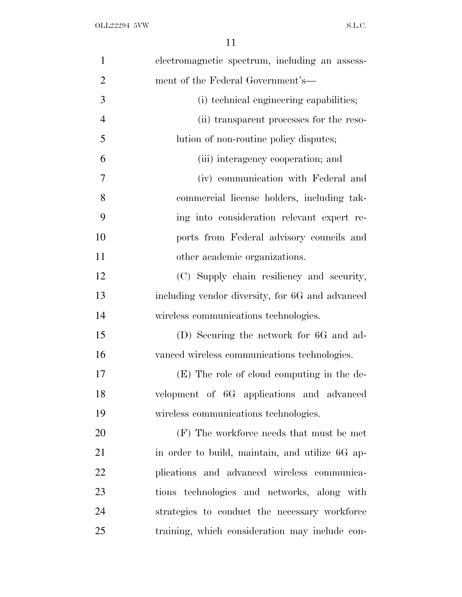| $\mathbf{1}$   | electromagnetic spectrum, including an assess-  |
|----------------|-------------------------------------------------|
| $\overline{2}$ | ment of the Federal Government's—               |
| 3              | (i) technical engineering capabilities;         |
| $\overline{4}$ | (ii) transparent processes for the reso-        |
| 5              | lution of non-routine policy disputes;          |
| 6              | (iii) interagency cooperation; and              |
| 7              | (iv) communication with Federal and             |
| 8              | commercial license holders, including tak-      |
| 9              | ing into consideration relevant expert re-      |
| 10             | ports from Federal advisory councils and        |
| 11             | other academic organizations.                   |
| 12             | (C) Supply chain resiliency and security,       |
| 13             | including vendor diversity, for 6G and advanced |
| 14             | wireless communications technologies.           |
| 15             | (D) Securing the network for 6G and ad-         |
| 16             | vanced wireless communications technologies.    |
| 17             | (E) The role of cloud computing in the de-      |
| 18             | velopment of 6G applications and advanced       |
| 19             | wireless communications technologies.           |
| 20             | (F) The workforce needs that must be met        |
| 21             | in order to build, maintain, and utilize 6G ap- |
| 22             | plications and advanced wireless communica-     |
| 23             | tions technologies and networks, along with     |
| 24             | strategies to conduct the necessary workforce   |
| 25             | training, which consideration may include con-  |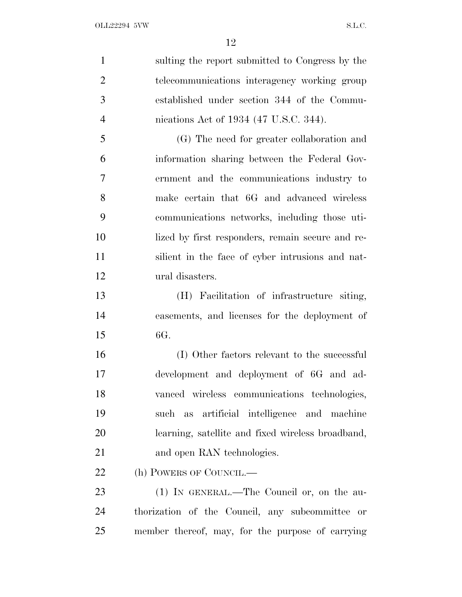| $\mathbf{1}$   | sulting the report submitted to Congress by the   |
|----------------|---------------------------------------------------|
| $\overline{2}$ | telecommunications interagency working group      |
| 3              | established under section 344 of the Commu-       |
| $\overline{4}$ | nications Act of 1934 (47 U.S.C. 344).            |
| 5              | (G) The need for greater collaboration and        |
| 6              | information sharing between the Federal Gov-      |
| 7              | ernment and the communications industry to        |
| 8              | make certain that 6G and advanced wireless        |
| 9              | communications networks, including those uti-     |
| 10             | lized by first responders, remain secure and re-  |
| 11             | silient in the face of cyber intrusions and nat-  |
| 12             | ural disasters.                                   |
| 13             | (H) Facilitation of infrastructure siting,        |
| 14             | easements, and licenses for the deployment of     |
| 15             | 6G.                                               |
| 16             | (I) Other factors relevant to the successful      |
| 17             | development and deployment of 6G and ad-          |
| 18             | vanced wireless communications technologies,      |
| 19             | such as artificial intelligence and machine       |
| 20             | learning, satellite and fixed wireless broadband, |
| 21             | and open RAN technologies.                        |
| 22             | (h) POWERS OF COUNCIL.—                           |
| 23             | (1) IN GENERAL.—The Council or, on the au-        |
| 24             | thorization of the Council, any subcommittee or   |
| 25             | member thereof, may, for the purpose of carrying  |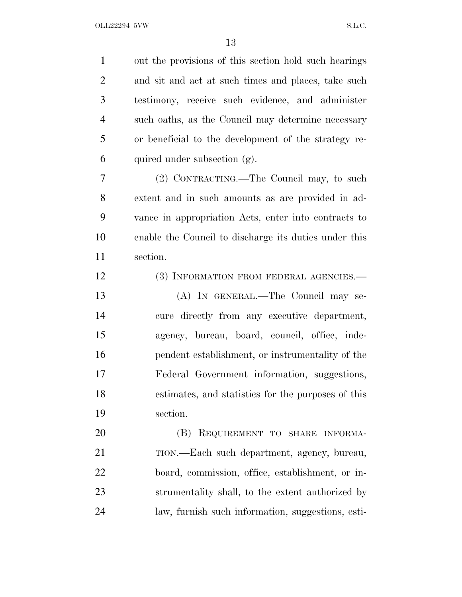out the provisions of this section hold such hearings and sit and act at such times and places, take such testimony, receive such evidence, and administer such oaths, as the Council may determine necessary or beneficial to the development of the strategy re-6 quired under subsection  $(g)$ . (2) CONTRACTING.—The Council may, to such extent and in such amounts as are provided in ad- vance in appropriation Acts, enter into contracts to enable the Council to discharge its duties under this section. 12 (3) INFORMATION FROM FEDERAL AGENCIES.— (A) IN GENERAL.—The Council may se- cure directly from any executive department, agency, bureau, board, council, office, inde- pendent establishment, or instrumentality of the Federal Government information, suggestions, estimates, and statistics for the purposes of this section. (B) REQUIREMENT TO SHARE INFORMA- TION.—Each such department, agency, bureau, board, commission, office, establishment, or in- strumentality shall, to the extent authorized by law, furnish such information, suggestions, esti-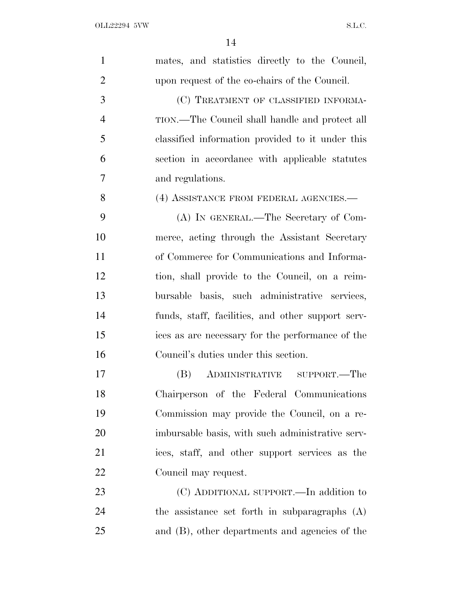| $\mathbf{1}$   | mates, and statistics directly to the Council,    |
|----------------|---------------------------------------------------|
| $\overline{2}$ | upon request of the co-chairs of the Council.     |
| 3              | (C) TREATMENT OF CLASSIFIED INFORMA-              |
| $\overline{4}$ | TION.—The Council shall handle and protect all    |
| 5              | classified information provided to it under this  |
| 6              | section in accordance with applicable statutes    |
| 7              | and regulations.                                  |
| 8              | (4) ASSISTANCE FROM FEDERAL AGENCIES.—            |
| 9              | (A) IN GENERAL.—The Secretary of Com-             |
| 10             | merce, acting through the Assistant Secretary     |
| 11             | of Commerce for Communications and Informa-       |
| 12             | tion, shall provide to the Council, on a reim-    |
| 13             | bursable basis, such administrative services,     |
| 14             | funds, staff, facilities, and other support serv- |
| 15             | ices as are necessary for the performance of the  |
| 16             | Council's duties under this section.              |
| 17             | ADMINISTRATIVE SUPPORT.—The<br>(B)                |
| 18             | Chairperson of the Federal Communications         |
| 19             | Commission may provide the Council, on a re-      |
| 20             | imbursable basis, with such administrative serv-  |
| 21             | ices, staff, and other support services as the    |
| <u>22</u>      | Council may request.                              |
| 23             | (C) ADDITIONAL SUPPORT.—In addition to            |
| 24             | the assistance set forth in subparagraphs (A)     |
| 25             | and (B), other departments and agencies of the    |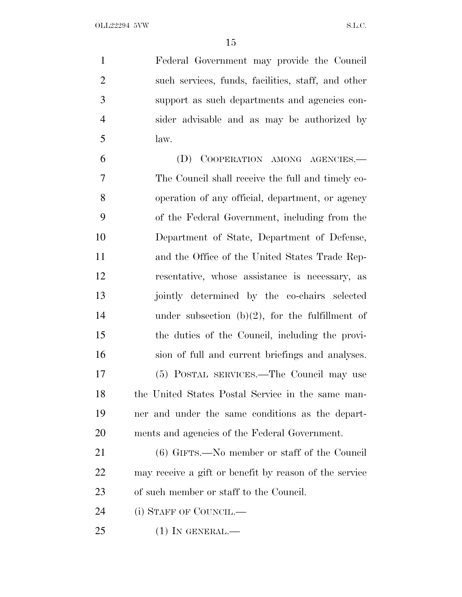Federal Government may provide the Council such services, funds, facilities, staff, and other support as such departments and agencies con- sider advisable and as may be authorized by law.

 (D) COOPERATION AMONG AGENCIES.— The Council shall receive the full and timely co- operation of any official, department, or agency of the Federal Government, including from the Department of State, Department of Defense, and the Office of the United States Trade Rep- resentative, whose assistance is necessary, as jointly determined by the co-chairs selected 14 under subsection  $(b)(2)$ , for the fulfillment of the duties of the Council, including the provi- sion of full and current briefings and analyses. (5) POSTAL SERVICES.—The Council may use the United States Postal Service in the same man- ner and under the same conditions as the depart-ments and agencies of the Federal Government.

 (6) GIFTS.—No member or staff of the Council may receive a gift or benefit by reason of the service of such member or staff to the Council.

24 (i) STAFF OF COUNCIL.—

(1) IN GENERAL.—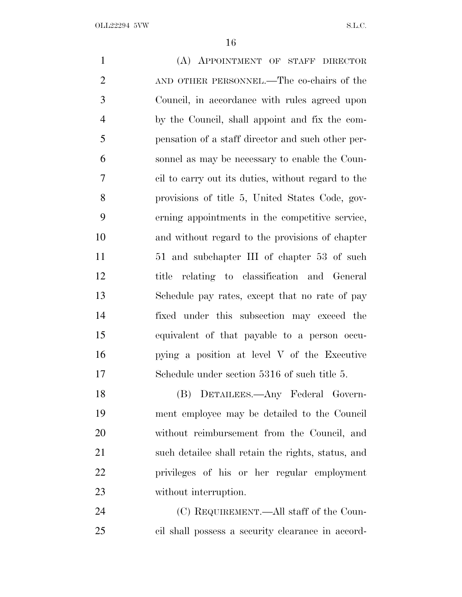| $\mathbf{1}$   | (A) APPOINTMENT OF STAFF DIRECTOR                  |
|----------------|----------------------------------------------------|
| $\overline{2}$ | AND OTHER PERSONNEL.—The co-chairs of the          |
| 3              | Council, in accordance with rules agreed upon      |
| $\overline{4}$ | by the Council, shall appoint and fix the com-     |
| 5              | pensation of a staff director and such other per-  |
| 6              | sonnel as may be necessary to enable the Coun-     |
| 7              | cil to carry out its duties, without regard to the |
| 8              | provisions of title 5, United States Code, gov-    |
| 9              | erning appointments in the competitive service,    |
| 10             | and without regard to the provisions of chapter    |
| 11             | 51 and subchapter III of chapter 53 of such        |
| 12             | title relating to classification and General       |
| 13             | Schedule pay rates, except that no rate of pay     |
| 14             | fixed under this subsection may exceed the         |
| 15             | equivalent of that payable to a person occu-       |
| 16             | pying a position at level V of the Executive       |
| 17             | Schedule under section 5316 of such title 5.       |
| 18             | (B) DETAILEES.—Any Federal Govern-                 |
| 19             | ment employee may be detailed to the Council       |
| 20             | without reimbursement from the Council, and        |
| 21             | such detailee shall retain the rights, status, and |
| 22             | privileges of his or her regular employment        |
| 23             | without interruption.                              |
| 24             | (C) REQUIREMENT.—All staff of the Coun-            |

cil shall possess a security clearance in accord-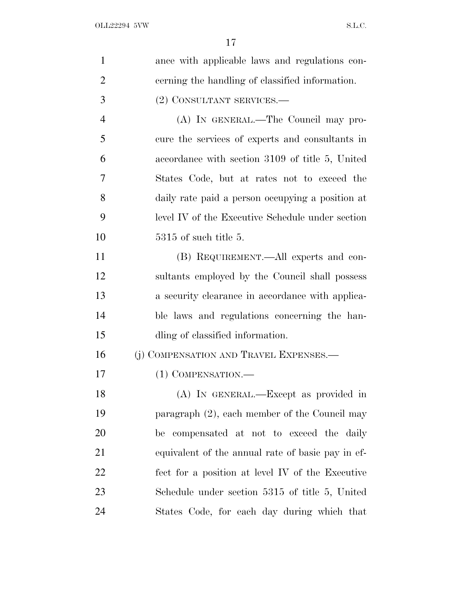| 1              | ance with applicable laws and regulations con-    |
|----------------|---------------------------------------------------|
| $\overline{2}$ | cerning the handling of classified information.   |
| 3              | (2) CONSULTANT SERVICES.-                         |
| $\overline{4}$ | (A) IN GENERAL.—The Council may pro-              |
| 5              | cure the services of experts and consultants in   |
| 6              | accordance with section 3109 of title 5, United   |
| 7              | States Code, but at rates not to exceed the       |
| 8              | daily rate paid a person occupying a position at  |
| 9              | level IV of the Executive Schedule under section  |
| 10             | $5315$ of such title 5.                           |
| 11             | (B) REQUIREMENT.—All experts and con-             |
| 12             | sultants employed by the Council shall possess    |
| 13             | a security clearance in accordance with applica-  |
| 14             | ble laws and regulations concerning the han-      |
| 15             | dling of classified information.                  |
| 16             | (j) COMPENSATION AND TRAVEL EXPENSES.—            |
| 17             | (1) COMPENSATION.-                                |
| 18             | (A) IN GENERAL.—Except as provided in             |
| 19             | paragraph $(2)$ , each member of the Council may  |
| 20             | be compensated at not to exceed the daily         |
| 21             | equivalent of the annual rate of basic pay in ef- |
| 22             | fect for a position at level IV of the Executive  |
| 23             | Schedule under section 5315 of title 5, United    |
| 24             | States Code, for each day during which that       |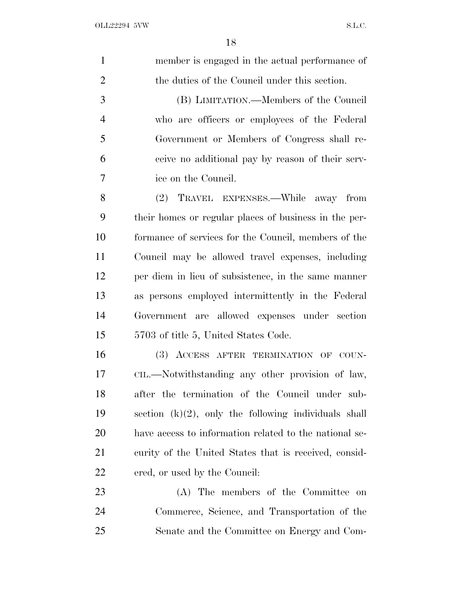| $\mathbf{1}$   | member is engaged in the actual performance of          |
|----------------|---------------------------------------------------------|
| $\overline{2}$ | the duties of the Council under this section.           |
| 3              | (B) LIMITATION.—Members of the Council                  |
| $\overline{4}$ | who are officers or employees of the Federal            |
| 5              | Government or Members of Congress shall re-             |
| 6              | ceive no additional pay by reason of their serv-        |
| 7              | ice on the Council.                                     |
| 8              | TRAVEL EXPENSES.—While away from<br>(2)                 |
| 9              | their homes or regular places of business in the per-   |
| 10             | formance of services for the Council, members of the    |
| 11             | Council may be allowed travel expenses, including       |
| 12             | per diem in lieu of subsistence, in the same manner     |
| 13             | as persons employed intermittently in the Federal       |
| 14             | Government are allowed expenses under section           |
| 15             | 5703 of title 5, United States Code.                    |
| 16             | (3) ACCESS AFTER TERMINATION OF COUN-                   |
| 17             | CIL.—Notwithstanding any other provision of law,        |
| 18             | after the termination of the Council under sub-         |
| 19             | section $(k)(2)$ , only the following individuals shall |
| 20             | have access to information related to the national se-  |
| 21             | curity of the United States that is received, consid-   |
| 22             | ered, or used by the Council:                           |
| 23             | (A) The members of the Committee on                     |
| 24             | Commerce, Science, and Transportation of the            |
| 25             | Senate and the Committee on Energy and Com-             |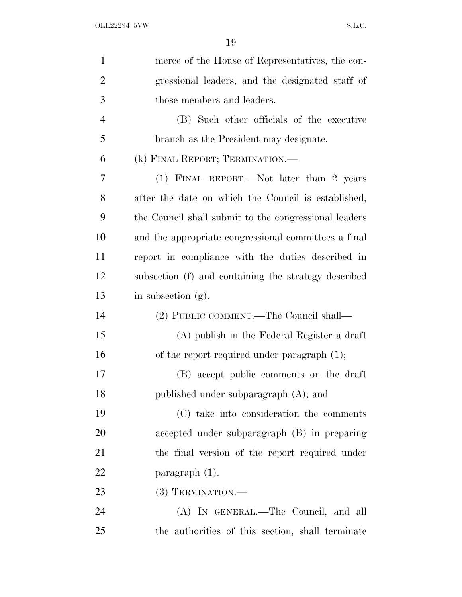| $\mathbf{1}$   | merce of the House of Representatives, the con-       |
|----------------|-------------------------------------------------------|
| $\overline{2}$ | gressional leaders, and the designated staff of       |
| 3              | those members and leaders.                            |
| $\overline{4}$ | (B) Such other officials of the executive             |
| 5              | branch as the President may designate.                |
| 6              | (k) FINAL REPORT; TERMINATION.—                       |
| 7              | (1) FINAL REPORT.—Not later than 2 years              |
| 8              | after the date on which the Council is established,   |
| 9              | the Council shall submit to the congressional leaders |
| 10             | and the appropriate congressional committees a final  |
| 11             | report in compliance with the duties described in     |
| 12             | subsection (f) and containing the strategy described  |
| 13             | in subsection $(g)$ .                                 |
| 14             | (2) PUBLIC COMMENT.—The Council shall—                |
| 15             | (A) publish in the Federal Register a draft           |
| 16             | of the report required under paragraph (1);           |
| 17             | (B) accept public comments on the draft               |
| 18             | published under subparagraph $(A)$ ; and              |
| 19             | (C) take into consideration the comments              |
| 20             | accepted under subparagraph (B) in preparing          |
| 21             | the final version of the report required under        |
| 22             | $\frac{1}{2}$ paragraph $(1)$ .                       |
| 23             | $(3)$ TERMINATION.—                                   |
| 24             | (A) IN GENERAL.—The Council, and all                  |
| 25             | the authorities of this section, shall terminate      |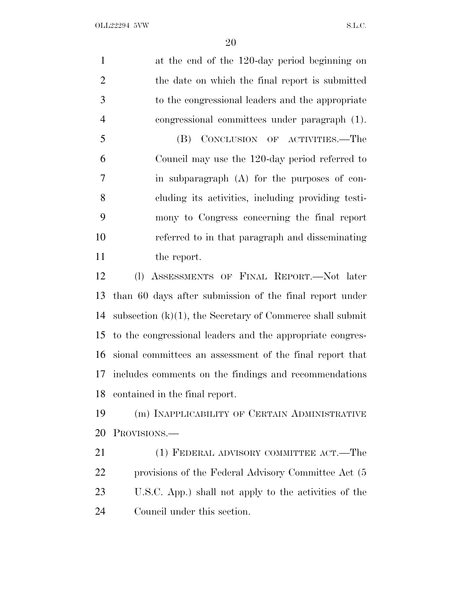at the end of the 120-day period beginning on the date on which the final report is submitted to the congressional leaders and the appropriate congressional committees under paragraph (1). (B) CONCLUSION OF ACTIVITIES.—The Council may use the 120-day period referred to in subparagraph (A) for the purposes of con- cluding its activities, including providing testi- mony to Congress concerning the final report referred to in that paragraph and disseminating 11 the report. (l) ASSESSMENTS OF FINAL REPORT.—Not later than 60 days after submission of the final report under subsection (k)(1), the Secretary of Commerce shall submit to the congressional leaders and the appropriate congres- sional committees an assessment of the final report that includes comments on the findings and recommendations contained in the final report. (m) INAPPLICABILITY OF CERTAIN ADMINISTRATIVE PROVISIONS.— 21 (1) FEDERAL ADVISORY COMMITTEE ACT.—The provisions of the Federal Advisory Committee Act (5 U.S.C. App.) shall not apply to the activities of the

Council under this section.